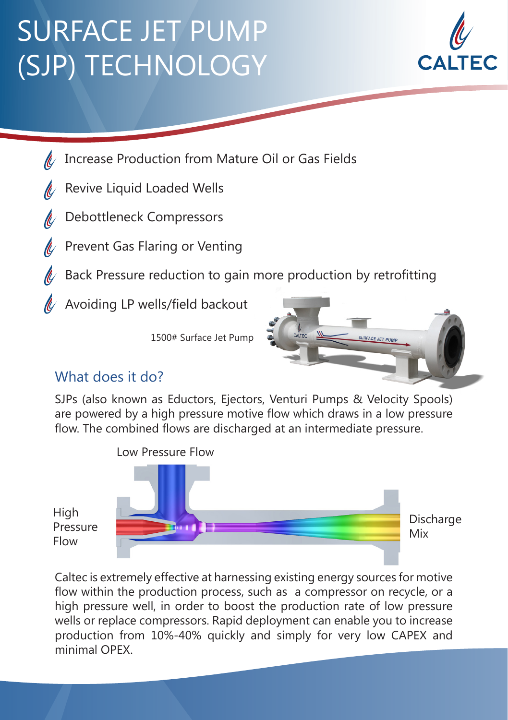## SURFACE JET PUMP (SJP) TECHNOLOGY



- Increase Production from Mature Oil or Gas Fields
- Revive Liquid Loaded Wells
- Debottleneck Compressors
- Prevent Gas Flaring or Venting
- Back Pressure reduction to gain more production by retrofitting
- $\ll$  Avoiding LP wells/field backout

1500# Surface Jet Pump



## What does it do?

SJPs (also known as Eductors, Ejectors, Venturi Pumps & Velocity Spools) are powered by a high pressure motive flow which draws in a low pressure flow. The combined flows are discharged at an intermediate pressure.



Caltec is extremely effective at harnessing existing energy sources for motive flow within the production process, such as a compressor on recycle, or a high pressure well, in order to boost the production rate of low pressure wells or replace compressors. Rapid deployment can enable you to increase production from 10%-40% quickly and simply for very low CAPEX and minimal OPEX.